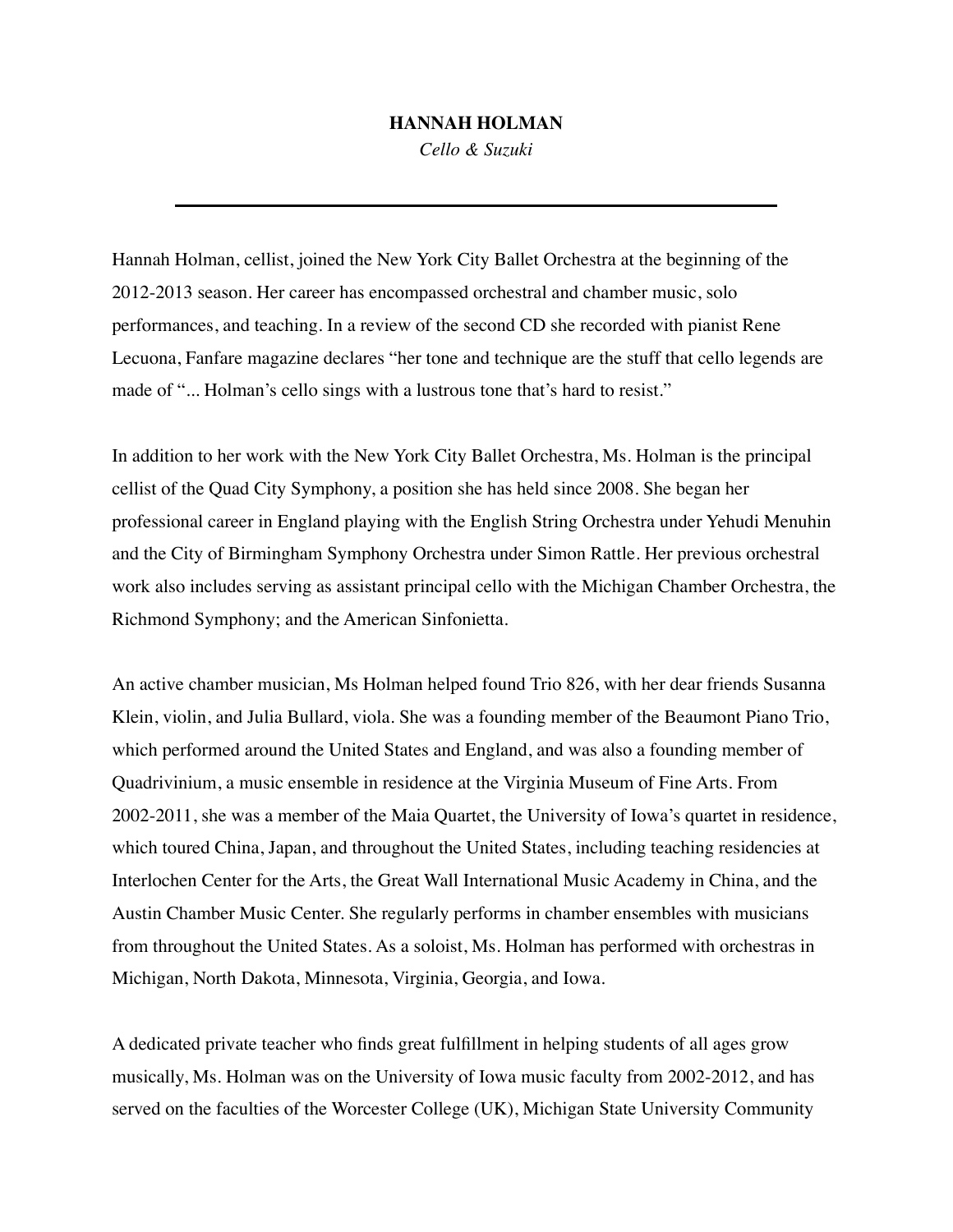## **HANNAH HOLMAN**

*Cello & Suzuki*

Hannah Holman, cellist, joined the New York City Ballet Orchestra at the beginning of the 2012-2013 season. Her career has encompassed orchestral and chamber music, solo performances, and teaching. In a review of the second CD she recorded with pianist Rene Lecuona, Fanfare magazine declares "her tone and technique are the stuff that cello legends are made of "... Holman's cello sings with a lustrous tone that's hard to resist."

In addition to her work with the New York City Ballet Orchestra, Ms. Holman is the principal cellist of the Quad City Symphony, a position she has held since 2008. She began her professional career in England playing with the English String Orchestra under Yehudi Menuhin and the City of Birmingham Symphony Orchestra under Simon Rattle. Her previous orchestral work also includes serving as assistant principal cello with the Michigan Chamber Orchestra, the Richmond Symphony; and the American Sinfonietta.

An active chamber musician, Ms Holman helped found Trio 826, with her dear friends Susanna Klein, violin, and Julia Bullard, viola. She was a founding member of the Beaumont Piano Trio, which performed around the United States and England, and was also a founding member of Quadrivinium, a music ensemble in residence at the Virginia Museum of Fine Arts. From 2002-2011, she was a member of the Maia Quartet, the University of Iowa's quartet in residence, which toured China, Japan, and throughout the United States, including teaching residencies at Interlochen Center for the Arts, the Great Wall International Music Academy in China, and the Austin Chamber Music Center. She regularly performs in chamber ensembles with musicians from throughout the United States. As a soloist, Ms. Holman has performed with orchestras in Michigan, North Dakota, Minnesota, Virginia, Georgia, and Iowa.

A dedicated private teacher who finds great fulfillment in helping students of all ages grow musically, Ms. Holman was on the University of Iowa music faculty from 2002-2012, and has served on the faculties of the Worcester College (UK), Michigan State University Community